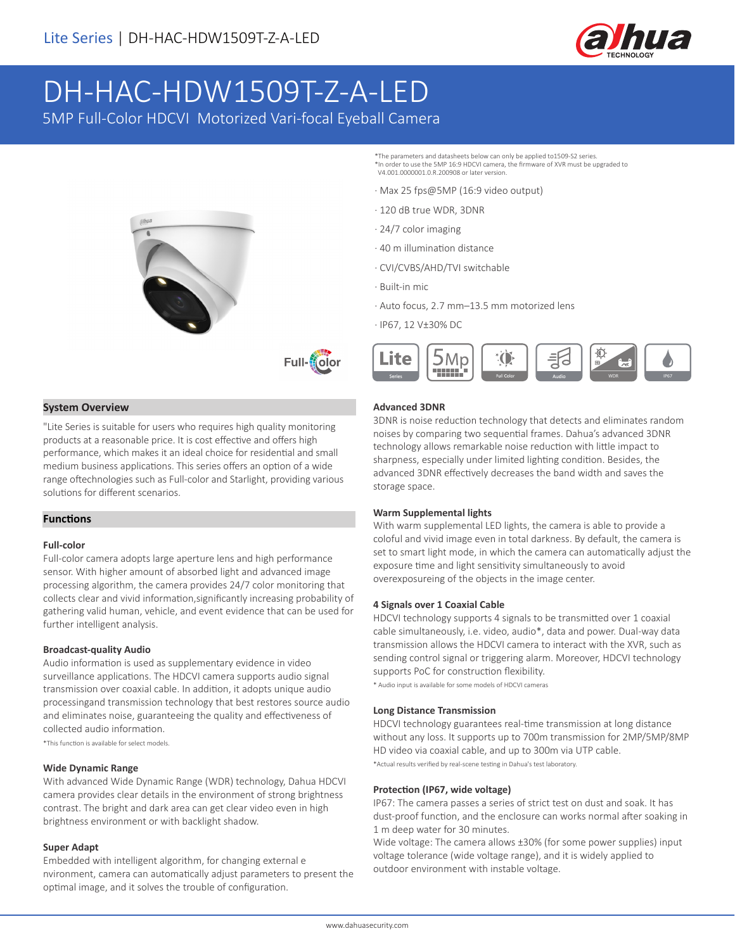

# DH-HAC-HDW1509T-Z-A-LED

5MP Full-Color HDCVI Motorized Vari-focal Eyeball Camera





#### **System Overview**

"Lite Series is suitable for users who requires high quality monitoring products at a reasonable price. It is cost effective and offers high performance, which makes it an ideal choice for residential and small medium business applications. This series offers an option of a wide range oftechnologies such as Full-color and Starlight, providing various solutions for different scenarios.

#### **Functions**

#### **Full-color**

Full-color camera adopts large aperture lens and high performance sensor. With higher amount of absorbed light and advanced image processing algorithm, the camera provides 24/7 color monitoring that collects clear and vivid information,significantly increasing probability of gathering valid human, vehicle, and event evidence that can be used for further intelligent analysis.

#### **Broadcast-quality Audio**

Audio information is used as supplementary evidence in video surveillance applications. The HDCVI camera supports audio signal transmission over coaxial cable. In addition, it adopts unique audio processingand transmission technology that best restores source audio and eliminates noise, guaranteeing the quality and effectiveness of collected audio information.

\*This function is available for select models.

#### **Wide Dynamic Range**

With advanced Wide Dynamic Range (WDR) technology, Dahua HDCVI camera provides clear details in the environment of strong brightness contrast. The bright and dark area can get clear video even in high brightness environment or with backlight shadow.

#### **Super Adapt**

Embedded with intelligent algorithm, for changing external e nvironment, camera can automatically adjust parameters to present the optimal image, and it solves the trouble of configuration.

- \*The parameters and datasheets below can only be applied to1509-S2 series. \*In order to use the 5MP 16:9 HDCVI camera, the firmware of XVR must be upgraded to V4.001.0000001.0.R.200908 or later version.
- · Max 25 fps@5MP (16:9 video output)
- · 120 dB true WDR, 3DNR
- · 24/7 color imaging
- · 40 m illumination distance
- · CVI/CVBS/AHD/TVI switchable
- · Built-in mic
- · Auto focus, 2.7 mm–13.5 mm motorized lens
- · IP67, 12 V±30% DC



#### **Advanced 3DNR**

3DNR is noise reduction technology that detects and eliminates random noises by comparing two sequential frames. Dahua's advanced 3DNR technology allows remarkable noise reduction with little impact to sharpness, especially under limited lighting condition. Besides, the advanced 3DNR effectively decreases the band width and saves the storage space.

#### **Warm Supplemental lights**

With warm supplemental LED lights, the camera is able to provide a coloful and vivid image even in total darkness. By default, the camera is set to smart light mode, in which the camera can automatically adjust the exposure time and light sensitivity simultaneously to avoid overexposureing of the objects in the image center.

#### **4 Signals over 1 Coaxial Cable**

HDCVI technology supports 4 signals to be transmitted over 1 coaxial cable simultaneously, i.e. video, audio\*, data and power. Dual-way data transmission allows the HDCVI camera to interact with the XVR, such as sending control signal or triggering alarm. Moreover, HDCVI technology supports PoC for construction flexibility.

\* Audio input is available for some models of HDCVI cameras

#### **Long Distance Transmission**

HDCVI technology guarantees real-time transmission at long distance without any loss. It supports up to 700m transmission for 2MP/5MP/8MP HD video via coaxial cable, and up to 300m via UTP cable. \*Actual results verified by real-scene testing in Dahua's test laboratory.

#### **Protection (IP67, wide voltage)**

IP67: The camera passes a series of strict test on dust and soak. It has dust-proof function, and the enclosure can works normal after soaking in 1 m deep water for 30 minutes.

Wide voltage: The camera allows ±30% (for some power supplies) input voltage tolerance (wide voltage range), and it is widely applied to outdoor environment with instable voltage.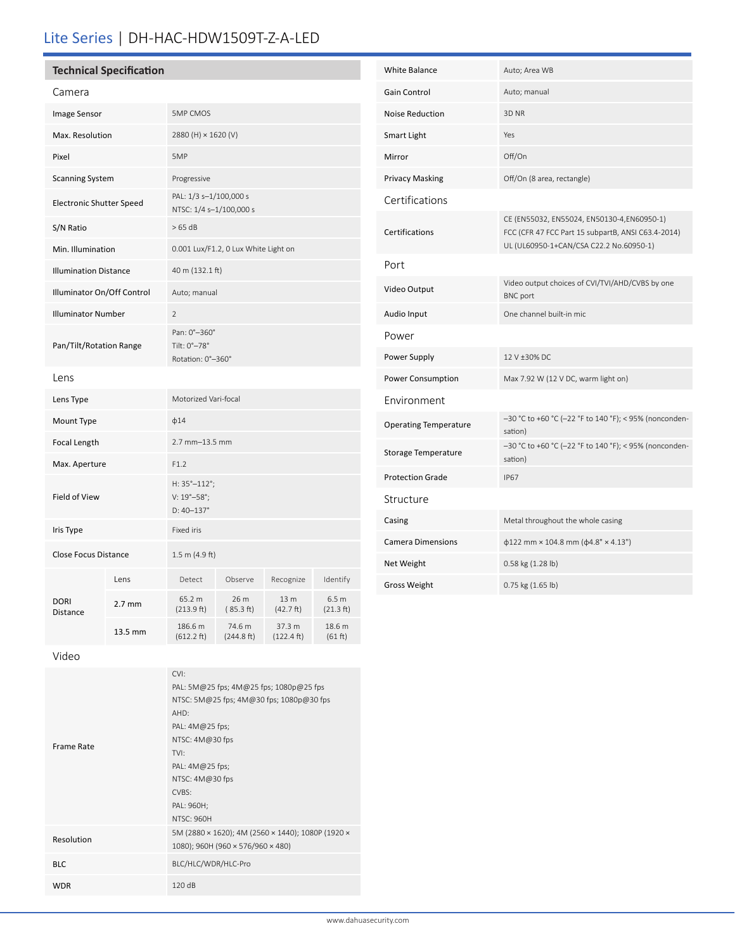## Lite Series | DH-HAC-HDW1509T-Z-A-LED

| <b>Technical Specification</b> |  |
|--------------------------------|--|
|                                |  |

| Camera                       |                                 |                                                                   |                                                   |                                |                               |  |
|------------------------------|---------------------------------|-------------------------------------------------------------------|---------------------------------------------------|--------------------------------|-------------------------------|--|
| <b>Image Sensor</b>          |                                 | <b>5MP CMOS</b>                                                   |                                                   |                                |                               |  |
| Max. Resolution              |                                 |                                                                   | 2880 (H) × 1620 (V)                               |                                |                               |  |
| Pixel                        |                                 | 5MP                                                               |                                                   |                                |                               |  |
| <b>Scanning System</b>       |                                 | Progressive                                                       |                                                   |                                |                               |  |
|                              | <b>Electronic Shutter Speed</b> |                                                                   | PAL: 1/3 s-1/100,000 s<br>NTSC: 1/4 s-1/100,000 s |                                |                               |  |
| S/N Ratio                    |                                 | >65 dB                                                            |                                                   |                                |                               |  |
| Min. Illumination            |                                 | 0.001 Lux/F1.2, 0 Lux White Light on                              |                                                   |                                |                               |  |
| <b>Illumination Distance</b> |                                 | 40 m (132.1 ft)                                                   |                                                   |                                |                               |  |
| Illuminator On/Off Control   |                                 | Auto; manual                                                      |                                                   |                                |                               |  |
| <b>Illuminator Number</b>    |                                 | $\overline{2}$                                                    |                                                   |                                |                               |  |
| Pan/Tilt/Rotation Range      |                                 | Pan: 0°-360°<br>Tilt: 0°-78°<br>Rotation: 0°-360°                 |                                                   |                                |                               |  |
| Lens                         |                                 |                                                                   |                                                   |                                |                               |  |
| Lens Type                    |                                 | Motorized Vari-focal                                              |                                                   |                                |                               |  |
| Mount Type                   |                                 | $\phi$ 14                                                         |                                                   |                                |                               |  |
| Focal Length                 |                                 | 2.7 mm-13.5 mm                                                    |                                                   |                                |                               |  |
| Max. Aperture                |                                 | F1.2                                                              |                                                   |                                |                               |  |
| Field of View                |                                 | H: 35°-112°;<br>$V: 19^{\circ} - 58^{\circ}$ ;<br>$D: 40 - 137$ ° |                                                   |                                |                               |  |
| Iris Type                    |                                 | Fixed iris                                                        |                                                   |                                |                               |  |
| <b>Close Focus Distance</b>  |                                 | $1.5 \text{ m}$ (4.9 ft)                                          |                                                   |                                |                               |  |
|                              | Lens                            | Detect                                                            | Observe                                           | Recognize                      | Identify                      |  |
| <b>DORI</b><br>Distance      | $2.7 \text{ mm}$                | 65.2 m<br>(213.9 ft)                                              | 26 m<br>(85.3 ft)                                 | 13 m<br>(42.7 ft)              | 6.5 <sub>m</sub><br>(21.3 ft) |  |
|                              | 13.5 mm                         | 186.6 m<br>(612.2 ft)                                             | 74.6 m<br>(244.8 ft)                              | 37.3 m<br>$(122.4 \text{ ft})$ | 18.6 m<br>(61 ft)             |  |
|                              |                                 |                                                                   |                                                   |                                |                               |  |

| <b>White Balance</b>         | Auto; Area WB                                                                                                                               |
|------------------------------|---------------------------------------------------------------------------------------------------------------------------------------------|
| <b>Gain Control</b>          | Auto; manual                                                                                                                                |
| Noise Reduction              | 3D NR                                                                                                                                       |
| Smart Light                  | Yes                                                                                                                                         |
| Mirror                       | Off/On                                                                                                                                      |
| <b>Privacy Masking</b>       | Off/On (8 area, rectangle)                                                                                                                  |
| Certifications               |                                                                                                                                             |
| Certifications               | CE (EN55032, EN55024, EN50130-4,EN60950-1)<br>FCC (CFR 47 FCC Part 15 subpartB, ANSI C63.4-2014)<br>UL (UL60950-1+CAN/CSA C22.2 No.60950-1) |
| Port                         |                                                                                                                                             |
| Video Output                 | Video output choices of CVI/TVI/AHD/CVBS by one<br><b>BNC</b> port                                                                          |
| Audio Input                  | One channel built-in mic                                                                                                                    |
| Power                        |                                                                                                                                             |
| Power Supply                 | 12 V ±30% DC                                                                                                                                |
| Power Consumption            | Max 7.92 W (12 V DC, warm light on)                                                                                                         |
| Environment                  |                                                                                                                                             |
| <b>Operating Temperature</b> | -30 °C to +60 °C (-22 °F to 140 °F); < 95% (nonconden-<br>sation)                                                                           |
| <b>Storage Temperature</b>   | -30 °C to +60 °C (-22 °F to 140 °F); < 95% (nonconden-<br>sation)                                                                           |
| <b>Protection Grade</b>      | <b>IP67</b>                                                                                                                                 |
| Structure                    |                                                                                                                                             |
| Casing                       | Metal throughout the whole casing                                                                                                           |
| <b>Camera Dimensions</b>     | $\phi$ 122 mm × 104.8 mm ( $\phi$ 4.8" × 4.13")                                                                                             |
| Net Weight                   | 0.58 kg (1.28 lb)                                                                                                                           |
| <b>Gross Weight</b>          | 0.75 kg (1.65 lb)                                                                                                                           |

Video

|                   | CVI:                                              |
|-------------------|---------------------------------------------------|
| <b>Frame Rate</b> | PAL: 5M@25 fps; 4M@25 fps; 1080p@25 fps           |
|                   | NTSC: 5M@25 fps; 4M@30 fps; 1080p@30 fps          |
|                   | AHD:                                              |
|                   | PAL: $4M@25$ fps;                                 |
|                   | NTSC: $4M@30$ fps                                 |
|                   | TVI:                                              |
|                   | PAL: 4M@25 fps;                                   |
|                   | NTSC: 4M@30 fps                                   |
|                   | CVBS:                                             |
|                   | PAL: 960H;                                        |
|                   | <b>NTSC: 960H</b>                                 |
| Resolution        | 5M (2880 × 1620); 4M (2560 × 1440); 1080P (1920 × |
|                   | 1080); 960H (960 × 576/960 × 480)                 |
| <b>BLC</b>        | BLC/HLC/WDR/HLC-Pro                               |
| <b>WDR</b>        | 120 dB                                            |
|                   |                                                   |